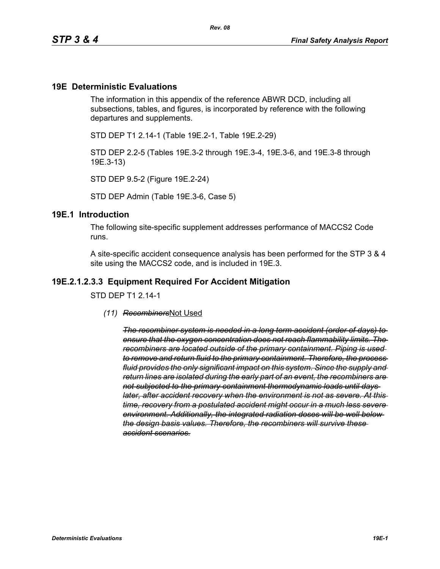#### **19E Deterministic Evaluations**

The information in this appendix of the reference ABWR DCD, including all subsections, tables, and figures, is incorporated by reference with the following departures and supplements.

STD DEP T1 2.14-1 (Table 19E.2-1, Table 19E.2-29)

STD DEP 2.2-5 (Tables 19E.3-2 through 19E.3-4, 19E.3-6, and 19E.3-8 through 19E.3-13)

STD DEP 9.5-2 (Figure 19E.2-24)

STD DEP Admin (Table 19E.3-6, Case 5)

#### **19E.1 Introduction**

The following site-specific supplement addresses performance of MACCS2 Code runs.

A site-specific accident consequence analysis has been performed for the STP 3 & 4 site using the MACCS2 code, and is included in 19E.3.

#### **19E.2.1.2.3.3 Equipment Required For Accident Mitigation**

STD DEP T1 2.14-1

*(11) Recombiners*Not Used

*The recombiner system is needed in a long term accident (order of days) to ensure that the oxygen concentration does not reach flammability limits. The recombiners are located outside of the primary containment. Piping is used to remove and return fluid to the primary containment. Therefore, the process fluid provides the only significant impact on this system. Since the supply and return lines are isolated during the early part of an event, the recombiners are not subjected to the primary containment thermodynamic loads until days later, after accident recovery when the environment is not as severe. At this time, recovery from a postulated accident might occur in a much less severe environment. Additionally, the integrated radiation doses will be well below the design basis values. Therefore, the recombiners will survive these accident scenarios.*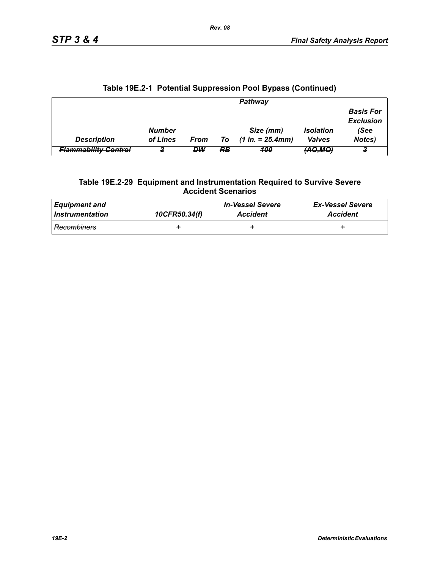|                                 |               |      |    | Pathway             |                     |                                      |
|---------------------------------|---------------|------|----|---------------------|---------------------|--------------------------------------|
|                                 |               |      |    |                     |                     | <b>Basis For</b><br><b>Exclusion</b> |
|                                 | <b>Number</b> |      |    | Size (mm)           | <b>Isolation</b>    | (See                                 |
| <b>Description</b>              | of Lines      | From | To | $(1 in. = 25.4 mm)$ | <b>Valves</b>       | Notes)                               |
| <del>Flammability Control</del> |               | DW   | RB | 100                 | <del>(AO,MO</del> ) |                                      |

## **Table 19E.2-1 Potential Suppression Pool Bypass (Continued)**

#### **Table 19E.2-29 Equipment and Instrumentation Required to Survive Severe Accident Scenarios**

| Equipment and   | 10CFR50.34(f) | <b>In-Vessel Severe</b> | <b>Ex-Vessel Severe</b> |
|-----------------|---------------|-------------------------|-------------------------|
| Instrumentation |               | <b>Accident</b>         | <b>Accident</b>         |
| Recombiners     | ÷             | ÷                       | ÷                       |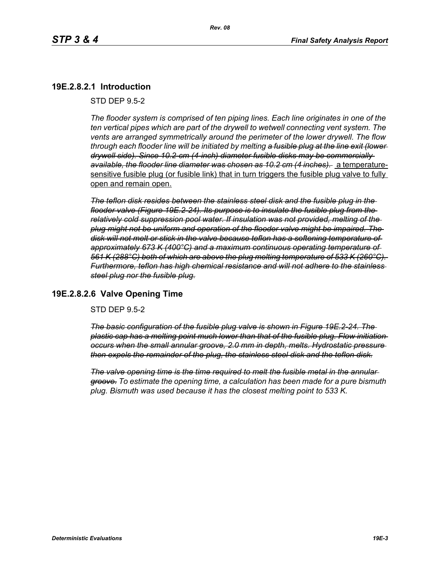## **19E.2.8.2.1 Introduction**

STD DEP 9.5-2

*The flooder system is comprised of ten piping lines. Each line originates in one of the ten vertical pipes which are part of the drywell to wetwell connecting vent system. The vents are arranged symmetrically around the perimeter of the lower drywell. The flow through each flooder line will be initiated by melting a fusible plug at the line exit (lower drywell side). Since 10.2-cm (4-inch) diameter fusible disks may be commercially available, the flooder line diameter was chosen as 10.2 cm (4 inches).* a temperaturesensitive fusible plug (or fusible link) that in turn triggers the fusible plug valve to fully open and remain open.

*The teflon disk resides between the stainless steel disk and the fusible plug in the flooder valve (Figure 19E.2-24). Its purpose is to insulate the fusible plug from the relatively cold suppression pool water. If insulation was not provided, melting of the plug might not be uniform and operation of the flooder valve might be impaired. The disk will not melt or stick in the valve because teflon has a softening temperature of approximately 673 K (400°C) and a maximum continuous operating temperature of 561 K (288°C) both of which are above the plug melting temperature of 533 K (260°C). Furthermore, teflon has high chemical resistance and will not adhere to the stainless steel plug nor the fusible plug.*

### **19E.2.8.2.6 Valve Opening Time**

STD DEP 9.5-2

*The basic configuration of the fusible plug valve is shown in Figure 19E.2-24. The plastic cap has a melting point much lower than that of the fusible plug. Flow initiation occurs when the small annular groove, 2.0 mm in depth, melts. Hydrostatic pressure then expels the remainder of the plug, the stainless steel disk and the teflon disk.*

*The valve opening time is the time required to melt the fusible metal in the annular groove. To estimate the opening time, a calculation has been made for a pure bismuth plug. Bismuth was used because it has the closest melting point to 533 K.*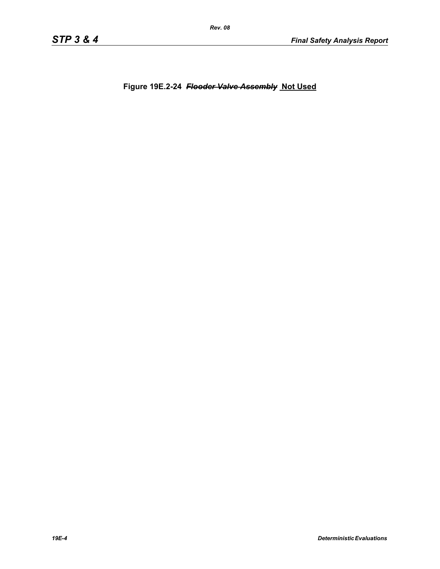**Figure 19E.2-24** *Flooder Valve Assembly* **Not Used**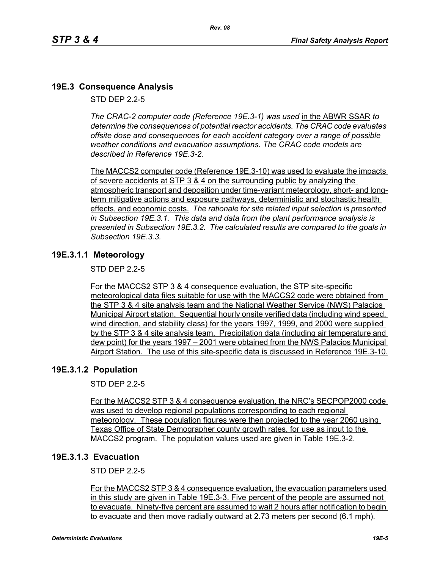# **19E.3 Consequence Analysis**

STD DEP 2.2-5

*The CRAC-2 computer code (Reference 19E.3-1) was used* in the ABWR SSAR *to determine the consequences of potential reactor accidents. The CRAC code evaluates offsite dose and consequences for each accident category over a range of possible weather conditions and evacuation assumptions. The CRAC code models are described in Reference 19E.3-2.* 

The MACCS2 computer code (Reference 19E.3-10) was used to evaluate the impacts of severe accidents at STP 3 & 4 on the surrounding public by analyzing the atmospheric transport and deposition under time-variant meteorology, short- and longterm mitigative actions and exposure pathways, deterministic and stochastic health effects, and economic costs. *The rationale for site related input selection is presented in Subsection 19E.3.1. This data and data from the plant performance analysis is presented in Subsection 19E.3.2. The calculated results are compared to the goals in Subsection 19E.3.3.*

### **19E.3.1.1 Meteorology**

STD DEP 2.2-5

For the MACCS2 STP 3 & 4 consequence evaluation, the STP site-specific meteorological data files suitable for use with the MACCS2 code were obtained from the STP 3 & 4 site analysis team and the National Weather Service (NWS) Palacios Municipal Airport station. Sequential hourly onsite verified data (including wind speed, wind direction, and stability class) for the years 1997, 1999, and 2000 were supplied by the STP 3 & 4 site analysis team. Precipitation data (including air temperature and dew point) for the years 1997 – 2001 were obtained from the NWS Palacios Municipal Airport Station. The use of this site-specific data is discussed in Reference 19E.3-10.

### **19E.3.1.2 Population**

STD DEP 2.2-5

For the MACCS2 STP 3 & 4 consequence evaluation, the NRC's SECPOP2000 code was used to develop regional populations corresponding to each regional meteorology. These population figures were then projected to the year 2060 using Texas Office of State Demographer county growth rates, for use as input to the MACCS2 program. The population values used are given in Table 19E.3-2.

### **19E.3.1.3 Evacuation**

STD DEP 2.2-5

For the MACCS2 STP 3 & 4 consequence evaluation, the evacuation parameters used in this study are given in Table 19E.3-3. Five percent of the people are assumed not to evacuate. Ninety-five percent are assumed to wait 2 hours after notification to begin to evacuate and then move radially outward at 2.73 meters per second (6.1 mph).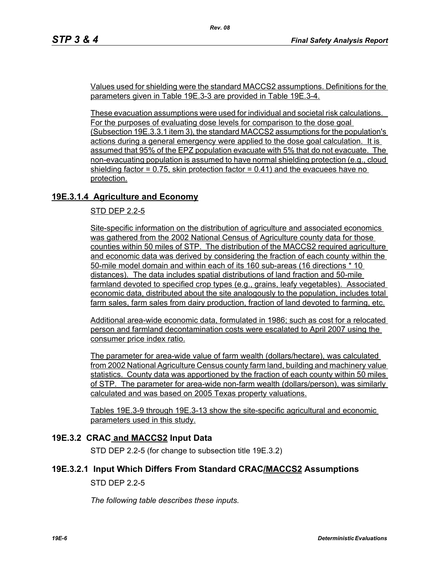Values used for shielding were the standard MACCS2 assumptions. Definitions for the parameters given in Table 19E.3-3 are provided in Table 19E.3-4.

*Rev. 08*

These evacuation assumptions were used for individual and societal risk calculations. For the purposes of evaluating dose levels for comparison to the dose goal (Subsection 19E.3.3.1 item 3), the standard MACCS2 assumptions for the population's actions during a general emergency were applied to the dose goal calculation. It is assumed that 95% of the EPZ population evacuate with 5% that do not evacuate. The non-evacuating population is assumed to have normal shielding protection (e.g., cloud shielding factor  $= 0.75$ , skin protection factor  $= 0.41$ ) and the evacuees have no protection.

# **19E.3.1.4 Agriculture and Economy**

STD DEP 2.2-5

Site-specific information on the distribution of agriculture and associated economics was gathered from the 2002 National Census of Agriculture county data for those counties within 50 miles of STP. The distribution of the MACCS2 required agriculture and economic data was derived by considering the fraction of each county within the 50-mile model domain and within each of its 160 sub-areas (16 directions \* 10 distances). The data includes spatial distributions of land fraction and 50-mile farmland devoted to specified crop types (e.g., grains, leafy vegetables). Associated economic data, distributed about the site analogously to the population, includes total farm sales, farm sales from dairy production, fraction of land devoted to farming, etc.

Additional area-wide economic data, formulated in 1986; such as cost for a relocated person and farmland decontamination costs were escalated to April 2007 using the consumer price index ratio.

The parameter for area-wide value of farm wealth (dollars/hectare), was calculated from 2002 National Agriculture Census county farm land, building and machinery value statistics. County data was apportioned by the fraction of each county within 50 miles of STP. The parameter for area-wide non-farm wealth (dollars/person), was similarly calculated and was based on 2005 Texas property valuations.

Tables 19E.3-9 through 19E.3-13 show the site-specific agricultural and economic parameters used in this study.

### **19E.3.2 CRAC and MACCS2 Input Data**

STD DEP 2.2-5 (for change to subsection title 19E.3.2)

### **19E.3.2.1 Input Which Differs From Standard CRAC/MACCS2 Assumptions**

STD DEP 2.2-5

*The following table describes these inputs.*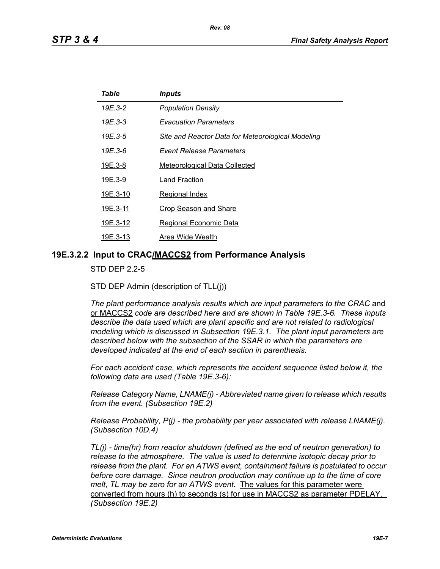| Table    | <i><b>Inputs</b></i>                              |
|----------|---------------------------------------------------|
| 19E.3-2  | <b>Population Density</b>                         |
| 19E.3-3  | <b>Evacuation Parameters</b>                      |
| 19E.3-5  | Site and Reactor Data for Meteorological Modeling |
| 19E.3-6  | <b>Event Release Parameters</b>                   |
| 19E.3-8  | <b>Meteorological Data Collected</b>              |
| 19E.3-9  | Land Fraction                                     |
| 19E.3-10 | Regional Index                                    |
| 19E.3-11 | <b>Crop Season and Share</b>                      |
| 19E.3-12 | Regional Economic Data                            |
| 19E.3-13 | Area Wide Wealth                                  |

*Rev. 08*

#### **19E.3.2.2 Input to CRAC/MACCS2 from Performance Analysis**

STD DEP 2.2-5

STD DEP Admin (description of TLL(j))

The plant performance analysis results which are input parameters to the CRAC and or MACCS2 *code are described here and are shown in Table 19E.3-6. These inputs describe the data used which are plant specific and are not related to radiological modeling which is discussed in Subsection 19E.3.1. The plant input parameters are described below with the subsection of the SSAR in which the parameters are developed indicated at the end of each section in parenthesis.*

*For each accident case, which represents the accident sequence listed below it, the following data are used (Table 19E.3-6):*

*Release Category Name, LNAME(j) - Abbreviated name given to release which results from the event. (Subsection 19E.2)*

*Release Probability, P(j) - the probability per year associated with release LNAME(j). (Subsection 10D.4)*

*TL(j) - time(hr) from reactor shutdown (defined as the end of neutron generation) to release to the atmosphere. The value is used to determine isotopic decay prior to release from the plant. For an ATWS event, containment failure is postulated to occur before core damage. Since neutron production may continue up to the time of core melt, TL may be zero for an ATWS event.* The values for this parameter were converted from hours (h) to seconds (s) for use in MACCS2 as parameter PDELAY. *(Subsection 19E.2)*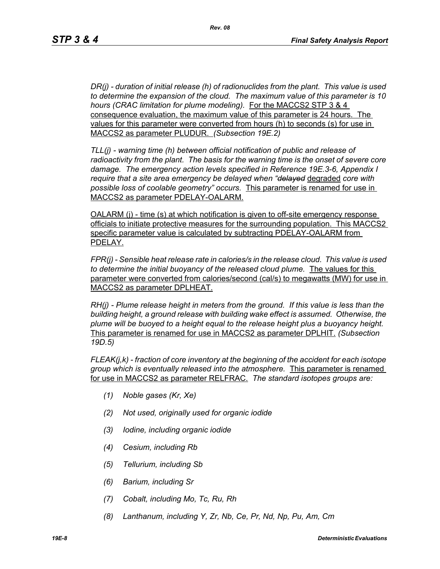*DR(j) - duration of initial release (h) of radionuclides from the plant. This value is used to determine the expansion of the cloud. The maximum value of this parameter is 10 hours (CRAC limitation for plume modeling).* For the MACCS2 STP 3 & 4 consequence evaluation, the maximum value of this parameter is 24 hours. The values for this parameter were converted from hours (h) to seconds (s) for use in MACCS2 as parameter PLUDUR. *(Subsection 19E.2)*

*TLL(j) - warning time (h) between official notification of public and release of radioactivity from the plant. The basis for the warning time is the onset of severe core damage. The emergency action levels specified in Reference 19E.3-6, Appendix I require that a site area emergency be delayed when "delayed* degraded *core with possible loss of coolable geometry" occurs.* This parameter is renamed for use in MACCS2 as parameter PDELAY-OALARM.

OALARM (j) - time (s) at which notification is given to off-site emergency response officials to initiate protective measures for the surrounding population. This MACCS2 specific parameter value is calculated by subtracting PDELAY-OALARM from PDELAY.

*FPR(j) - Sensible heat release rate in calories/s in the release cloud. This value is used to determine the initial buoyancy of the released cloud plume.* The values for this parameter were converted from calories/second (cal/s) to megawatts (MW) for use in MACCS2 as parameter DPLHEAT.

*RH(j) - Plume release height in meters from the ground. If this value is less than the building height, a ground release with building wake effect is assumed. Otherwise, the plume will be buoyed to a height equal to the release height plus a buoyancy height.*  This parameter is renamed for use in MACCS2 as parameter DPLHIT. *(Subsection 19D.5)*

*FLEAK(j,k) - fraction of core inventory at the beginning of the accident for each isotope group which is eventually released into the atmosphere.* This parameter is renamed for use in MACCS2 as parameter RELFRAC. *The standard isotopes groups are:*

- *(1) Noble gases (Kr, Xe)*
- *(2) Not used, originally used for organic iodide*
- *(3) Iodine, including organic iodide*
- *(4) Cesium, including Rb*
- *(5) Tellurium, including Sb*
- *(6) Barium, including Sr*
- *(7) Cobalt, including Mo, Tc, Ru, Rh*
- *(8) Lanthanum, including Y, Zr, Nb, Ce, Pr, Nd, Np, Pu, Am, Cm*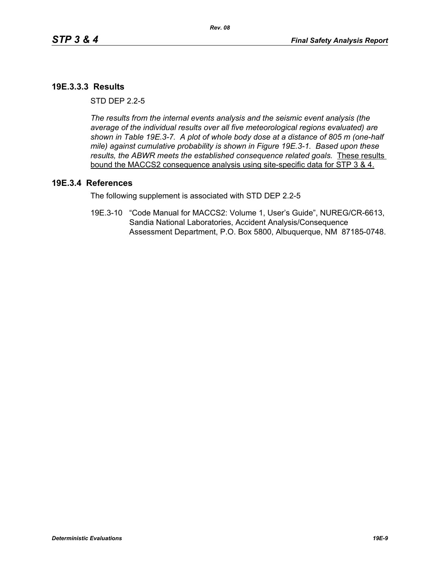### **19E.3.3.3 Results**

 $STD$  DFP  $2.2-5$ 

*The results from the internal events analysis and the seismic event analysis (the average of the individual results over all five meteorological regions evaluated) are shown in Table 19E.3-7. A plot of whole body dose at a distance of 805 m (one-half mile) against cumulative probability is shown in Figure 19E.3-1. Based upon these results, the ABWR meets the established consequence related goals.* These results bound the MACCS2 consequence analysis using site-specific data for STP 3 & 4.

#### **19E.3.4 References**

The following supplement is associated with STD DEP 2.2-5

19E.3-10 "Code Manual for MACCS2: Volume 1, User's Guide", NUREG/CR-6613, Sandia National Laboratories, Accident Analysis/Consequence Assessment Department, P.O. Box 5800, Albuquerque, NM 87185-0748.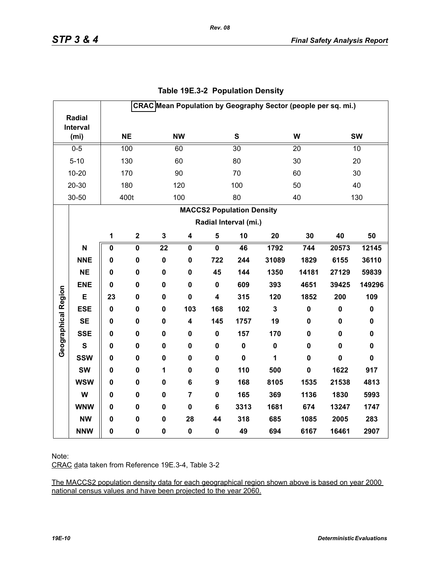|                     |                   |             |                         |                 |                         |                         |                                  |                         | CRAC Mean Population by Geography Sector (people per sq. mi.) |             |             |
|---------------------|-------------------|-------------|-------------------------|-----------------|-------------------------|-------------------------|----------------------------------|-------------------------|---------------------------------------------------------------|-------------|-------------|
|                     | <b>Radial</b>     |             |                         |                 |                         |                         |                                  |                         |                                                               |             |             |
|                     | Interval          |             | <b>NE</b>               |                 | <b>NW</b>               |                         | ${\bf S}$                        |                         | W                                                             |             | <b>SW</b>   |
|                     | (m <sub>i</sub> ) |             |                         |                 |                         |                         |                                  |                         |                                                               |             |             |
|                     | $0 - 5$           |             | 100                     |                 | 60                      |                         | $\overline{30}$                  |                         | 20                                                            |             | 10          |
|                     | $5 - 10$          |             | 130                     |                 | 60                      |                         | 80                               |                         | 30                                                            |             | 20          |
|                     | $10 - 20$         |             | 170                     |                 | 90                      |                         | 70                               |                         | 60                                                            |             | 30          |
|                     | 20-30             |             | 180                     |                 | 120                     |                         | 100                              |                         | 50                                                            |             | 40          |
|                     | 30-50             |             | 400t                    |                 | 100                     |                         | 80                               |                         | 40                                                            |             | 130         |
|                     |                   |             |                         |                 |                         |                         | <b>MACCS2 Population Density</b> |                         |                                                               |             |             |
|                     |                   |             |                         |                 |                         |                         | Radial Interval (mi.)            |                         |                                                               |             |             |
|                     |                   | 1           | $\mathbf 2$             | $\mathbf 3$     | $\overline{\mathbf{4}}$ | $\sqrt{5}$              | 10                               | 20                      | 30                                                            | 40          | 50          |
|                     | N                 | $\pmb{0}$   | $\overline{\mathbf{0}}$ | $\overline{22}$ | $\mathbf 0$             | $\overline{\mathbf{0}}$ | 46                               | 1792                    | 744                                                           | 20573       | 12145       |
|                     | <b>NNE</b>        | 0           | $\mathbf 0$             | $\mathbf 0$     | $\mathbf 0$             | 722                     | 244                              | 31089                   | 1829                                                          | 6155        | 36110       |
|                     | <b>NE</b>         | 0           | 0                       | $\pmb{0}$       | 0                       | 45                      | 144                              | 1350                    | 14181                                                         | 27129       | 59839       |
|                     | <b>ENE</b>        | $\mathbf 0$ | 0                       | $\mathbf 0$     | $\mathbf 0$             | $\mathbf 0$             | 609                              | 393                     | 4651                                                          | 39425       | 149296      |
| Geographical Region | E                 | 23          | 0                       | $\mathbf 0$     | $\mathbf 0$             | 4                       | 315                              | 120                     | 1852                                                          | 200         | 109         |
|                     | <b>ESE</b>        | $\mathbf 0$ | 0                       | $\mathbf 0$     | 103                     | 168                     | 102                              | $\overline{\mathbf{3}}$ | $\pmb{0}$                                                     | $\pmb{0}$   | $\pmb{0}$   |
|                     | <b>SE</b>         | $\mathbf 0$ | $\pmb{0}$               | $\pmb{0}$       | 4                       | 145                     | 1757                             | 19                      | 0                                                             | $\pmb{0}$   | $\pmb{0}$   |
|                     | <b>SSE</b>        | 0           | 0                       | $\mathbf 0$     | 0                       | $\mathbf 0$             | 157                              | 170                     | 0                                                             | 0           | $\pmb{0}$   |
|                     | $\mathbf{s}$      | 0           | 0                       | $\mathbf 0$     | 0                       | 0                       | $\pmb{0}$                        | $\mathbf 0$             | $\mathbf 0$                                                   | 0           | $\pmb{0}$   |
|                     | <b>SSW</b>        | 0           | 0                       | $\mathbf 0$     | 0                       | 0                       | $\mathbf 0$                      | 1                       | $\mathbf 0$                                                   | $\mathbf 0$ | $\mathbf 0$ |
|                     | <b>SW</b>         | 0           | $\mathbf 0$             | $\mathbf{1}$    | 0                       | $\mathbf 0$             | 110                              | 500                     | $\mathbf 0$                                                   | 1622        | 917         |
|                     | <b>WSW</b>        | 0           | 0                       | $\mathbf 0$     | 6                       | 9                       | 168                              | 8105                    | 1535                                                          | 21538       | 4813        |
|                     | W                 | 0           | 0                       | $\mathbf 0$     | $\overline{7}$          | 0                       | 165                              | 369                     | 1136                                                          | 1830        | 5993        |
|                     | <b>WNW</b>        | $\mathbf 0$ | 0                       | $\mathbf 0$     | $\mathbf 0$             | 6                       | 3313                             | 1681                    | 674                                                           | 13247       | 1747        |
|                     | <b>NW</b>         | 0           | 0                       | $\mathbf 0$     | 28                      | 44                      | 318                              | 685                     | 1085                                                          | 2005        | 283         |
|                     | <b>NNW</b>        | 0           | $\pmb{0}$               | $\pmb{0}$       | $\pmb{0}$               | 0                       | 49                               | 694                     | 6167                                                          | 16461       | 2907        |

# **Table 19E.3-2 Population Density**

*Rev. 08*

Note:

CRAC data taken from Reference 19E.3-4, Table 3-2

The MACCS2 population density data for each geographical region shown above is based on year 2000 national census values and have been projected to the year 2060.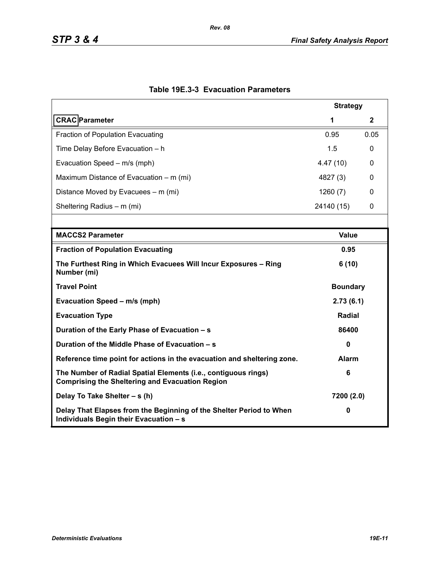|                                                                                                                          | <b>Strategy</b> |      |  |
|--------------------------------------------------------------------------------------------------------------------------|-----------------|------|--|
| <b>CRAC</b> Parameter                                                                                                    | 1               | 2    |  |
| <b>Fraction of Population Evacuating</b>                                                                                 | 0.95            | 0.05 |  |
| Time Delay Before Evacuation - h                                                                                         | 1.5             | 0    |  |
| Evacuation Speed - m/s (mph)                                                                                             | 4.47(10)        | 0    |  |
| Maximum Distance of Evacuation – m (mi)                                                                                  | 4827 (3)        | 0    |  |
| Distance Moved by Evacuees – m (mi)                                                                                      | 1260(7)         | 0    |  |
| Sheltering Radius - m (mi)                                                                                               | 24140 (15)      | 0    |  |
|                                                                                                                          |                 |      |  |
| <b>MACCS2 Parameter</b>                                                                                                  | <b>Value</b>    |      |  |
| <b>Fraction of Population Evacuating</b>                                                                                 | 0.95            |      |  |
| The Furthest Ring in Which Evacuees Will Incur Exposures - Ring<br>Number (mi)                                           | 6(10)           |      |  |
| <b>Travel Point</b>                                                                                                      | <b>Boundary</b> |      |  |
| Evacuation Speed - m/s (mph)                                                                                             | 2.73(6.1)       |      |  |
| <b>Evacuation Type</b>                                                                                                   | <b>Radial</b>   |      |  |
| Duration of the Early Phase of Evacuation - s                                                                            | 86400           |      |  |
| Duration of the Middle Phase of Evacuation - s                                                                           | $\mathbf{0}$    |      |  |
| Reference time point for actions in the evacuation and sheltering zone.                                                  | <b>Alarm</b>    |      |  |
| The Number of Radial Spatial Elements (i.e., contiguous rings)<br><b>Comprising the Sheltering and Evacuation Region</b> | 6               |      |  |
| Delay To Take Shelter - s (h)                                                                                            | 7200 (2.0)      |      |  |
| Delay That Elapses from the Beginning of the Shelter Period to When<br>Individuals Begin their Evacuation - s            | 0               |      |  |

# **Table 19E.3-3 Evacuation Parameters**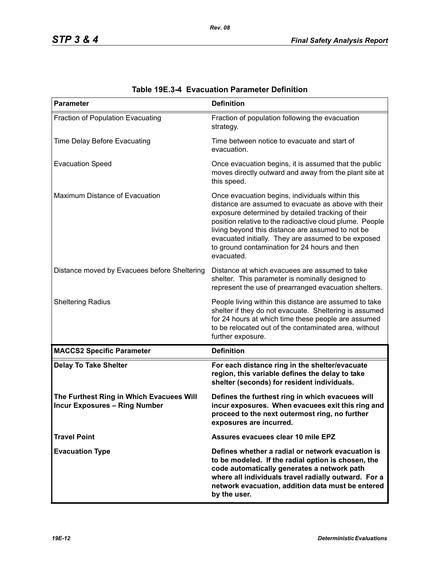| <b>Parameter</b>                                                                 | <b>Definition</b>                                                                                                                                                                                                                                                                                                                                                                                   |
|----------------------------------------------------------------------------------|-----------------------------------------------------------------------------------------------------------------------------------------------------------------------------------------------------------------------------------------------------------------------------------------------------------------------------------------------------------------------------------------------------|
| Fraction of Population Evacuating                                                | Fraction of population following the evacuation<br>strategy.                                                                                                                                                                                                                                                                                                                                        |
| Time Delay Before Evacuating                                                     | Time between notice to evacuate and start of<br>evacuation.                                                                                                                                                                                                                                                                                                                                         |
| <b>Evacuation Speed</b>                                                          | Once evacuation begins, it is assumed that the public<br>moves directly outward and away from the plant site at<br>this speed.                                                                                                                                                                                                                                                                      |
| Maximum Distance of Evacuation                                                   | Once evacuation begins, individuals within this<br>distance are assumed to evacuate as above with their<br>exposure determined by detailed tracking of their<br>position relative to the radioactive cloud plume. People<br>living beyond this distance are assumed to not be<br>evacuated initially. They are assumed to be exposed<br>to ground contamination for 24 hours and then<br>evacuated. |
| Distance moved by Evacuees before Sheltering                                     | Distance at which evacuees are assumed to take<br>shelter. This parameter is nominally designed to<br>represent the use of prearranged evacuation shelters.                                                                                                                                                                                                                                         |
| <b>Sheltering Radius</b>                                                         | People living within this distance are assumed to take<br>shelter if they do not evacuate. Sheltering is assumed<br>for 24 hours at which time these people are assumed<br>to be relocated out of the contaminated area, without<br>further exposure.                                                                                                                                               |
| <b>MACCS2 Specific Parameter</b>                                                 | <b>Definition</b>                                                                                                                                                                                                                                                                                                                                                                                   |
| <b>Delay To Take Shelter</b>                                                     | For each distance ring in the shelter/evacuate<br>region, this variable defines the delay to take<br>shelter (seconds) for resident individuals.                                                                                                                                                                                                                                                    |
| The Furthest Ring in Which Evacuees Will<br><b>Incur Exposures - Ring Number</b> | Defines the furthest ring in which evacuees will<br>incur exposures. When evacuees exit this ring and<br>proceed to the next outermost ring, no further<br>exposures are incurred.                                                                                                                                                                                                                  |
| <b>Travel Point</b>                                                              | Assures evacuees clear 10 mile EPZ                                                                                                                                                                                                                                                                                                                                                                  |
| <b>Evacuation Type</b>                                                           | Defines whether a radial or network evacuation is<br>to be modeled. If the radial option is chosen, the<br>code automatically generates a network path<br>where all individuals travel radially outward. For a<br>network evacuation, addition data must be entered<br>by the user.                                                                                                                 |

| Table 19E.3-4 Evacuation Parameter Definition |  |  |  |
|-----------------------------------------------|--|--|--|
|-----------------------------------------------|--|--|--|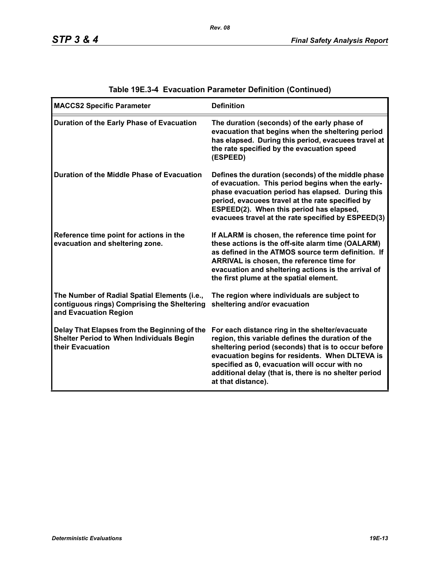| <b>MACCS2 Specific Parameter</b>                                                                                     | <b>Definition</b>                                                                                                                                                                                                                                                                                                                             |
|----------------------------------------------------------------------------------------------------------------------|-----------------------------------------------------------------------------------------------------------------------------------------------------------------------------------------------------------------------------------------------------------------------------------------------------------------------------------------------|
| Duration of the Early Phase of Evacuation                                                                            | The duration (seconds) of the early phase of<br>evacuation that begins when the sheltering period<br>has elapsed. During this period, evacuees travel at<br>the rate specified by the evacuation speed<br>(ESPEED)                                                                                                                            |
| Duration of the Middle Phase of Evacuation                                                                           | Defines the duration (seconds) of the middle phase<br>of evacuation. This period begins when the early-<br>phase evacuation period has elapsed. During this<br>period, evacuees travel at the rate specified by<br>ESPEED(2). When this period has elapsed,<br>evacuees travel at the rate specified by ESPEED(3)                             |
| Reference time point for actions in the<br>evacuation and sheltering zone.                                           | If ALARM is chosen, the reference time point for<br>these actions is the off-site alarm time (OALARM)<br>as defined in the ATMOS source term definition. If<br>ARRIVAL is chosen, the reference time for<br>evacuation and sheltering actions is the arrival of<br>the first plume at the spatial element.                                    |
| The Number of Radial Spatial Elements (i.e.,<br>contiguous rings) Comprising the Sheltering<br>and Evacuation Region | The region where individuals are subject to<br>sheltering and/or evacuation                                                                                                                                                                                                                                                                   |
| Delay That Elapses from the Beginning of the<br><b>Shelter Period to When Individuals Begin</b><br>their Evacuation  | For each distance ring in the shelter/evacuate<br>region, this variable defines the duration of the<br>sheltering period (seconds) that is to occur before<br>evacuation begins for residents. When DLTEVA is<br>specified as 0, evacuation will occur with no<br>additional delay (that is, there is no shelter period<br>at that distance). |

# **Table 19E.3-4 Evacuation Parameter Definition (Continued)**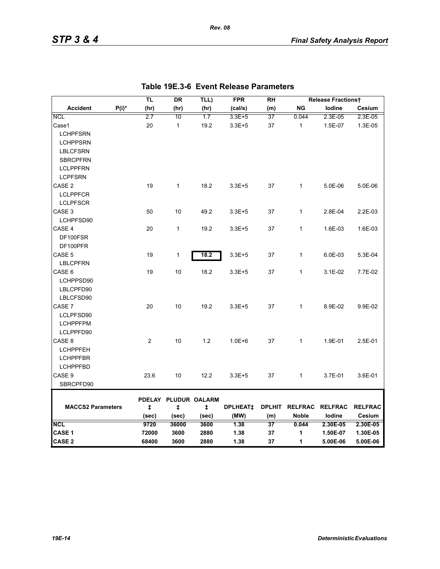|                          |          | TL         | <b>DR</b>                 | TLL)  | <b>FPR</b>      | <b>RH</b>     |              | <b>Release Fractionst</b> |                |
|--------------------------|----------|------------|---------------------------|-------|-----------------|---------------|--------------|---------------------------|----------------|
| <b>Accident</b>          | $P(i)^*$ | (hr)       | (hr)                      | (hr)  | (cal/s)         | (m)           | <b>NG</b>    | lodine                    | Cesium         |
| <b>NCL</b>               |          | 2.7        | 10                        | 1.7   | 3.3E+5          | 37            | 0.044        | 2.3E-05                   | 2.3E-05        |
| Case1                    |          | 20         | $\mathbf{1}$              | 19.2  | $3.3E + 5$      | 37            | $\mathbf{1}$ | 1.5E-07                   | 1.3E-05        |
| <b>LCHPFSRN</b>          |          |            |                           |       |                 |               |              |                           |                |
| <b>LCHPPSRN</b>          |          |            |                           |       |                 |               |              |                           |                |
| <b>LBLCFSRN</b>          |          |            |                           |       |                 |               |              |                           |                |
| <b>SBRCPFRN</b>          |          |            |                           |       |                 |               |              |                           |                |
| <b>LCLPPFRN</b>          |          |            |                           |       |                 |               |              |                           |                |
| <b>LCPFSRN</b>           |          |            |                           |       |                 |               |              |                           |                |
| CASE <sub>2</sub>        |          | 19         | $\mathbf{1}$              | 18.2  | $3.3E + 5$      | 37            | 1            | 5.0E-06                   | 5.0E-06        |
| <b>LCLPPFCR</b>          |          |            |                           |       |                 |               |              |                           |                |
| <b>LCLPFSCR</b>          |          |            |                           |       |                 |               |              |                           |                |
| CASE <sub>3</sub>        |          | 50         | 10                        | 49.2  | $3.3E + 5$      | 37            | $\mathbf{1}$ | 2.8E-04                   | 2.2E-03        |
| LCHPFSD90                |          |            |                           |       |                 |               |              |                           |                |
| CASE 4                   |          | 20         | $\mathbf{1}$              | 19.2  | $3.3E + 5$      | 37            | $\mathbf{1}$ | 1.6E-03                   | 1.6E-03        |
| DF100FSR                 |          |            |                           |       |                 |               |              |                           |                |
| DF100PFR                 |          |            |                           |       |                 |               |              |                           |                |
| CASE 5                   |          | 19         | 1                         | 18.2  | $3.3E + 5$      | 37            | $\mathbf{1}$ | 6.0E-03                   | 5.3E-04        |
| <b>LBLCPFRN</b>          |          |            |                           |       |                 |               |              |                           |                |
| CASE 6                   |          | 19         | 10                        | 18.2  | $3.3E + 5$      | 37            | 1            | 3.1E-02                   | 7.7E-02        |
| LCHPPSD90                |          |            |                           |       |                 |               |              |                           |                |
| LBLCPFD90                |          |            |                           |       |                 |               |              |                           |                |
| LBLCFSD90                |          |            |                           |       |                 |               |              |                           |                |
| CASE 7                   |          | 20         | 10                        | 19.2  | $3.3E + 5$      | 37            | $\mathbf{1}$ | 8.9E-02                   | 9.9E-02        |
| LCLPFSD90                |          |            |                           |       |                 |               |              |                           |                |
| <b>LCHPPFPM</b>          |          |            |                           |       |                 |               |              |                           |                |
| LCLPPFD90                |          |            |                           |       |                 |               |              |                           |                |
| CASE 8                   |          | 2          | 10                        | 1.2   | $1.0E + 6$      | 37            | $\mathbf{1}$ | 1.9E-01                   | 2.5E-01        |
| <b>LCHPPFEH</b>          |          |            |                           |       |                 |               |              |                           |                |
| <b>LCHPPFBR</b>          |          |            |                           |       |                 |               |              |                           |                |
| <b>LCHPPFBD</b>          |          |            |                           |       |                 |               |              |                           |                |
| CASE 9                   |          | 23.6       | 10                        | 12.2  | $3.3E + 5$      | 37            | $\mathbf{1}$ | 3.7E-01                   | 3.6E-01        |
| SBRCPFD90                |          |            |                           |       |                 |               |              |                           |                |
|                          |          |            |                           |       |                 |               |              |                           |                |
| <b>MACCS2 Parameters</b> |          | $\ddagger$ | PDELAY PLUDUR OALARM<br>ŧ | ŧ     | <b>DPLHEAT‡</b> | <b>DPLHIT</b> |              | RELFRAC RELFRAC           | <b>RELFRAC</b> |
|                          |          | (sec)      | (sec)                     | (sec) | (MW)            | (m)           | <b>Noble</b> | lodine                    | Cesium         |
| <b>NCL</b>               |          | 9720       | 36000                     | 3600  | 1.38            | 37            | 0.044        | 2.30E-05                  | 2.30E-05       |
| CASE 1                   |          | 72000      | 3600                      | 2880  | 1.38            | 37            | 1            | 1.50E-07                  | 1.30E-05       |
| <b>CASE 2</b>            |          | 68400      | 3600                      | 2880  | 1.38            | 37            | 1            | 5.00E-06                  | 5.00E-06       |

*Rev. 08*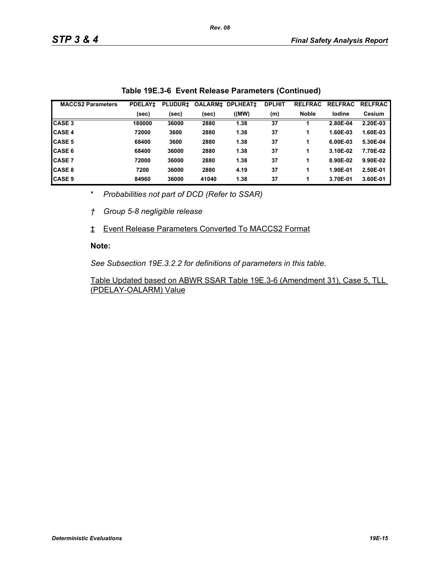| <b>MACCS2 Parameters</b> | <b>PDELAY1</b> | <b>PLUDUR1</b> | <b>OALARM‡</b> | <b>DPLHEAT1</b> | <b>DPLHIT</b> | <b>RELFRAC</b> | <b>RELFRAC</b> | <b>RELFRAC</b> |
|--------------------------|----------------|----------------|----------------|-----------------|---------------|----------------|----------------|----------------|
|                          | (sec)          | (sec)          | (sec)          | ((MW)           | (m)           | <b>Noble</b>   | lodine         | Cesium         |
| <b>CASE 3</b>            | 180000         | 36000          | 2880           | 1.38            | 37            |                | 2.80E-04       | 2.20E-03       |
| <b>CASE 4</b>            | 72000          | 3600           | 2880           | 1.38            | 37            |                | 1.60E-03       | 1.60E-03       |
| <b>CASE 5</b>            | 68400          | 3600           | 2880           | 1.38            | 37            |                | 6.00E-03       | 5.30E-04       |
| <b>CASE 6</b>            | 68400          | 36000          | 2880           | 1.38            | 37            |                | 3.10E-02       | 7.70E-02       |
| <b>CASE 7</b>            | 72000          | 36000          | 2880           | 1.38            | 37            | 1              | 8.90E-02       | 9.90E-02       |
| <b>CASE 8</b>            | 7200           | 36000          | 2880           | 4.19            | 37            |                | 1.90E-01       | 2.50E-01       |
| <b>CASE 9</b>            | 84960          | 36000          | 41040          | 1.38            | 37            |                | 3.70E-01       | 3.60E-01       |

|  | Table 19E.3-6 Event Release Parameters (Continued) |  |  |
|--|----------------------------------------------------|--|--|
|--|----------------------------------------------------|--|--|

\* *Probabilities not part of DCD (Refer to SSAR)*

*† Group 5-8 negligible release*

‡ Event Release Parameters Converted To MACCS2 Format

#### **Note:**

*See Subsection 19E.3.2.2 for definitions of parameters in this table.*

Table Updated based on ABWR SSAR Table 19E.3-6 (Amendment 31), Case 5, TLL (PDELAY-OALARM) Value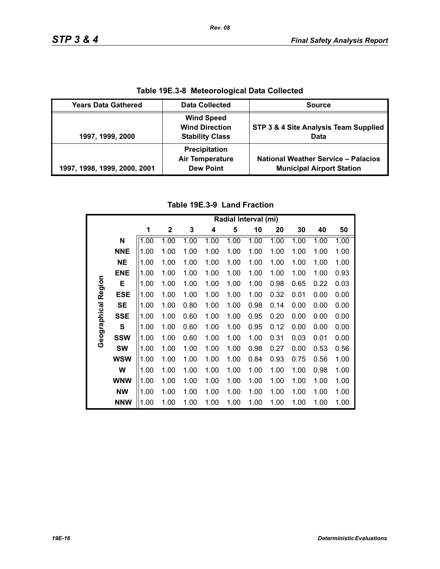| Table 19E.3-8 Meteorological Data Collected |                                                                      |                                                                                |  |  |  |
|---------------------------------------------|----------------------------------------------------------------------|--------------------------------------------------------------------------------|--|--|--|
| <b>Years Data Gathered</b>                  | <b>Data Collected</b>                                                | <b>Source</b>                                                                  |  |  |  |
| 1997, 1999, 2000                            | <b>Wind Speed</b><br><b>Wind Direction</b><br><b>Stability Class</b> | STP 3 & 4 Site Analysis Team Supplied<br>Data                                  |  |  |  |
| 1997, 1998, 1999, 2000, 2001                | Precipitation<br><b>Air Temperature</b><br><b>Dew Point</b>          | <b>National Weather Service - Palacios</b><br><b>Municipal Airport Station</b> |  |  |  |

**Table 19E.3-8 Meteorological Data Collected**

# **Table 19E.3-9 Land Fraction**

|              |              | Radial Interval (mi) |              |      |      |      |      |      |      |      |      |
|--------------|--------------|----------------------|--------------|------|------|------|------|------|------|------|------|
|              |              | 1                    | $\mathbf{2}$ | 3    | 4    | 5    | 10   | 20   | 30   | 40   | 50   |
|              | N            | 1.00                 | 1.00         | 1.00 | 1.00 | 1.00 | 1.00 | 1.00 | 1.00 | 1.00 | 1.00 |
|              | <b>NNE</b>   | 1.00                 | 1.00         | 1.00 | 1.00 | 1.00 | 1.00 | 1.00 | 1.00 | 1.00 | 1.00 |
|              | <b>NE</b>    | 1.00                 | 1.00         | 1.00 | 1.00 | 1.00 | 1.00 | 1.00 | 1.00 | 1.00 | 1.00 |
|              | <b>ENE</b>   | 1.00                 | 1.00         | 1.00 | 1.00 | 1.00 | 1.00 | 1.00 | 1.00 | 1.00 | 0.93 |
|              | Е            | 1.00                 | 1.00         | 1.00 | 1.00 | 1.00 | 1.00 | 0.98 | 0.65 | 0.22 | 0.03 |
| Region       | <b>ESE</b>   | 1.00                 | 1.00         | 1.00 | 1.00 | 1.00 | 1.00 | 0.32 | 0.01 | 0.00 | 0.00 |
|              | <b>SE</b>    | 1.00                 | 1.00         | 0.80 | 1.00 | 1.00 | 0.98 | 0.14 | 0.00 | 0.00 | 0.00 |
| Geographical | <b>SSE</b>   | 1.00                 | 1.00         | 0.60 | 1.00 | 1.00 | 0.95 | 0.20 | 0.00 | 0.00 | 0.00 |
|              | $\mathbf{s}$ | 1.00                 | 1.00         | 0.60 | 1.00 | 1.00 | 0.95 | 0.12 | 0.00 | 0.00 | 0.00 |
|              | <b>SSW</b>   | 1.00                 | 1.00         | 0.60 | 1.00 | 1.00 | 1.00 | 0.31 | 0.03 | 0.01 | 0.00 |
|              | <b>SW</b>    | 1.00                 | 1.00         | 1.00 | 1.00 | 1.00 | 0.98 | 0.27 | 0.00 | 0.53 | 0.56 |
|              | <b>WSW</b>   | 1.00                 | 1.00         | 1.00 | 1.00 | 1.00 | 0.84 | 0.93 | 0.75 | 0.56 | 1.00 |
|              | W            | 1.00                 | 1.00         | 1.00 | 1.00 | 1.00 | 1.00 | 1.00 | 1.00 | 0.98 | 1.00 |
|              | <b>WNW</b>   | 1.00                 | 1.00         | 1.00 | 1.00 | 1.00 | 1.00 | 1.00 | 1.00 | 1.00 | 1.00 |
|              | <b>NW</b>    | 1.00                 | 1.00         | 1.00 | 1.00 | 1.00 | 1.00 | 1.00 | 1.00 | 1.00 | 1.00 |
|              | <b>NNW</b>   | 1.00                 | 1.00         | 1.00 | 1.00 | 1.00 | 1.00 | 1.00 | 1.00 | 1.00 | 1.00 |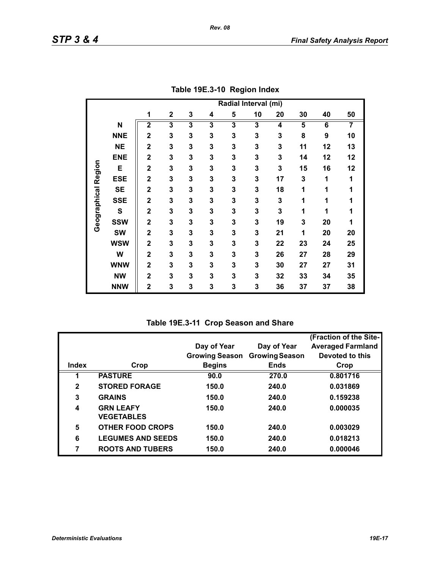|                     |            | Radial Interval (mi)    |                         |                         |                         |                         |    |                         |    |    |    |
|---------------------|------------|-------------------------|-------------------------|-------------------------|-------------------------|-------------------------|----|-------------------------|----|----|----|
|                     |            | 1                       | $\mathbf{2}$            | 3                       | 4                       | 5                       | 10 | 20                      | 30 | 40 | 50 |
|                     | N          | $\overline{\mathbf{2}}$ | $\overline{\mathbf{3}}$ | $\overline{\mathbf{3}}$ | $\overline{\mathbf{3}}$ | $\overline{\mathbf{3}}$ | 3  | $\overline{\mathbf{4}}$ | 5  | 6  | 7  |
|                     | <b>NNE</b> | $\overline{2}$          | 3                       | 3                       | 3                       | 3                       | 3  | 3                       | 8  | 9  | 10 |
|                     | <b>NE</b>  | $\overline{2}$          | 3                       | 3                       | 3                       | 3                       | 3  | 3                       | 11 | 12 | 13 |
|                     | <b>ENE</b> | $\overline{2}$          | 3                       | 3                       | 3                       | 3                       | 3  | 3                       | 14 | 12 | 12 |
|                     | E          | $\overline{2}$          | 3                       | 3                       | 3                       | 3                       | 3  | 3                       | 15 | 16 | 12 |
| Geographical Region | <b>ESE</b> | $\overline{\mathbf{2}}$ | 3                       | 3                       | 3                       | 3                       | 3  | 17                      | 3  | 1  | 1  |
|                     | <b>SE</b>  | $\overline{\mathbf{2}}$ | 3                       | 3                       | 3                       | 3                       | 3  | 18                      | 1  | 1  | 1  |
|                     | <b>SSE</b> | $\overline{2}$          | 3                       | 3                       | 3                       | 3                       | 3  | 3                       | 1  | 1  | 1  |
|                     | ${\bf S}$  | $\overline{2}$          | 3                       | 3                       | 3                       | 3                       | 3  | 3                       | 1  | 1  | 1  |
|                     | <b>SSW</b> | $\overline{2}$          | 3                       | 3                       | 3                       | 3                       | 3  | 19                      | 3  | 20 | 1  |
|                     | <b>SW</b>  | $\overline{2}$          | 3                       | 3                       | 3                       | 3                       | 3  | 21                      | 1  | 20 | 20 |
|                     | <b>WSW</b> | $\overline{2}$          | 3                       | 3                       | 3                       | 3                       | 3  | 22                      | 23 | 24 | 25 |
|                     | W          | $\overline{\mathbf{2}}$ | 3                       | 3                       | 3                       | 3                       | 3  | 26                      | 27 | 28 | 29 |
|                     | <b>WNW</b> | $\mathbf{2}$            | 3                       | 3                       | 3                       | 3                       | 3  | 30                      | 27 | 27 | 31 |
|                     | <b>NW</b>  | $\overline{\mathbf{2}}$ | 3                       | 3                       | 3                       | 3                       | 3  | 32                      | 33 | 34 | 35 |
|                     | <b>NNW</b> | $\overline{2}$          | 3                       | 3                       | 3                       | 3                       | 3  | 36                      | 37 | 37 | 38 |

**Table 19E.3-10 Region Index**

| Table 19E.3-11 Crop Season and Share |  |  |  |  |
|--------------------------------------|--|--|--|--|
|--------------------------------------|--|--|--|--|

|              |                          |                       |                       | (Fraction of the Site-   |
|--------------|--------------------------|-----------------------|-----------------------|--------------------------|
|              |                          | Day of Year           | Day of Year           | <b>Averaged Farmland</b> |
|              |                          | <b>Growing Season</b> | <b>Growing Season</b> | Devoted to this          |
| <b>Index</b> | Crop                     | <b>Begins</b>         | <b>Ends</b>           | Crop                     |
|              | <b>PASTURE</b>           | 90.0                  | 270.0                 | 0.801716                 |
| $\mathbf{2}$ | <b>STORED FORAGE</b>     | 150.0                 | 240.0                 | 0.031869                 |
| 3            | <b>GRAINS</b>            | 150.0                 | 240.0                 | 0.159238                 |
| 4            | <b>GRN LEAFY</b>         | 150.0                 | 240.0                 | 0.000035                 |
|              | <b>VEGETABLES</b>        |                       |                       |                          |
| 5            | <b>OTHER FOOD CROPS</b>  | 150.0                 | 240.0                 | 0.003029                 |
| 6            | <b>LEGUMES AND SEEDS</b> | 150.0                 | 240.0                 | 0.018213                 |
| 7            | <b>ROOTS AND TUBERS</b>  | 150.0                 | 240.0                 | 0.000046                 |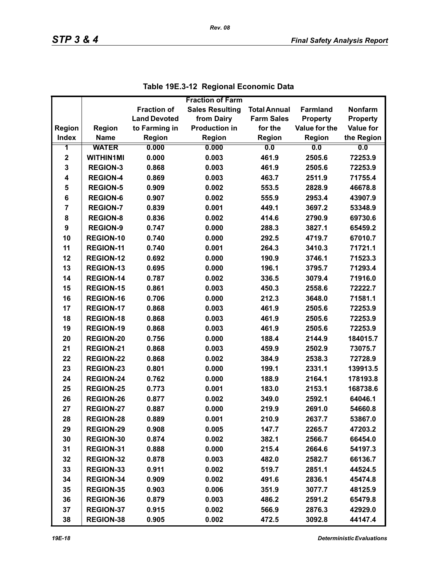|                         |                  |                     | <b>Fraction of Farm</b> |                     |                 |                  |
|-------------------------|------------------|---------------------|-------------------------|---------------------|-----------------|------------------|
|                         |                  | <b>Fraction of</b>  | <b>Sales Resulting</b>  | <b>Total Annual</b> | <b>Farmland</b> | <b>Nonfarm</b>   |
|                         |                  | <b>Land Devoted</b> | from Dairy              | <b>Farm Sales</b>   | <b>Property</b> | <b>Property</b>  |
| Region                  | <b>Region</b>    | to Farming in       | <b>Production in</b>    | for the             | Value for the   | <b>Value for</b> |
| <b>Index</b>            | <b>Name</b>      | <b>Region</b>       | Region                  | Region              | Region          | the Region       |
| 1                       | <b>WATER</b>     | 0.000               | 0.000                   | 0.0                 | 0.0             | 0.0              |
| $\mathbf 2$             | <b>WITHIN1MI</b> | 0.000               | 0.003                   | 461.9               | 2505.6          | 72253.9          |
| 3                       | <b>REGION-3</b>  | 0.868               | 0.003                   | 461.9               | 2505.6          | 72253.9          |
| $\overline{\mathbf{4}}$ | <b>REGION-4</b>  | 0.869               | 0.003                   | 463.7               | 2511.9          | 71755.4          |
| 5                       | <b>REGION-5</b>  | 0.909               | 0.002                   | 553.5               | 2828.9          | 46678.8          |
| 6                       | <b>REGION-6</b>  | 0.907               | 0.002                   | 555.9               | 2953.4          | 43907.9          |
| $\overline{7}$          | <b>REGION-7</b>  | 0.839               | 0.001                   | 449.1               | 3697.2          | 53348.9          |
| 8                       | <b>REGION-8</b>  | 0.836               | 0.002                   | 414.6               | 2790.9          | 69730.6          |
| 9                       | <b>REGION-9</b>  | 0.747               | 0.000                   | 288.3               | 3827.1          | 65459.2          |
| 10                      | REGION-10        | 0.740               | 0.000                   | 292.5               | 4719.7          | 67010.7          |
| 11                      | <b>REGION-11</b> | 0.740               | 0.001                   | 264.3               | 3410.3          | 71721.1          |
| 12                      | <b>REGION-12</b> | 0.692               | 0.000                   | 190.9               | 3746.1          | 71523.3          |
| 13                      | <b>REGION-13</b> | 0.695               | 0.000                   | 196.1               | 3795.7          | 71293.4          |
| 14                      | <b>REGION-14</b> | 0.787               | 0.002                   | 336.5               | 3079.4          | 71916.0          |
| 15                      | <b>REGION-15</b> | 0.861               | 0.003                   | 450.3               | 2558.6          | 72222.7          |
| 16                      | <b>REGION-16</b> | 0.706               | 0.000                   | 212.3               | 3648.0          | 71581.1          |
| 17                      | <b>REGION-17</b> | 0.868               | 0.003                   | 461.9               | 2505.6          | 72253.9          |
| 18                      | <b>REGION-18</b> | 0.868               | 0.003                   | 461.9               | 2505.6          | 72253.9          |
| 19                      | <b>REGION-19</b> | 0.868               | 0.003                   | 461.9               | 2505.6          | 72253.9          |
| 20                      | <b>REGION-20</b> | 0.756               | 0.000                   | 188.4               | 2144.9          | 184015.7         |
| 21                      | <b>REGION-21</b> | 0.868               | 0.003                   | 459.9               | 2502.9          | 73075.7          |
| 22                      | <b>REGION-22</b> | 0.868               | 0.002                   | 384.9               | 2538.3          | 72728.9          |
| 23                      | <b>REGION-23</b> | 0.801               | 0.000                   | 199.1               | 2331.1          | 139913.5         |
| 24                      | <b>REGION-24</b> | 0.762               | 0.000                   | 188.9               | 2164.1          | 178193.8         |
| 25                      | <b>REGION-25</b> | 0.773               | 0.001                   | 183.0               | 2153.1          | 168738.6         |
| 26                      | <b>REGION-26</b> | 0.877               | 0.002                   | 349.0               | 2592.1          | 64046.1          |
| 27                      | <b>REGION-27</b> | 0.887               | 0.000                   | 219.9               | 2691.0          | 54660.8          |
| 28                      | <b>REGION-28</b> | 0.889               | 0.001                   | 210.9               | 2637.7          | 53867.0          |
| 29                      | <b>REGION-29</b> | 0.908               | 0.005                   | 147.7               | 2265.7          | 47203.2          |
| 30                      | REGION-30        | 0.874               | 0.002                   | 382.1               | 2566.7          | 66454.0          |
| 31                      | REGION-31        | 0.888               | 0.000                   | 215.4               | 2664.6          | 54197.3          |
| 32                      | <b>REGION-32</b> | 0.878               | 0.003                   | 482.0               | 2582.7          | 66136.7          |
| 33                      | REGION-33        | 0.911               | 0.002                   | 519.7               | 2851.1          | 44524.5          |
| 34                      | REGION-34        | 0.909               | 0.002                   | 491.6               | 2836.1          | 45474.8          |
| 35                      | <b>REGION-35</b> | 0.903               | 0.006                   | 351.9               | 3077.7          | 48125.9          |
| 36                      | REGION-36        | 0.879               | 0.003                   | 486.2               | 2591.2          | 65479.8          |
| 37                      | <b>REGION-37</b> | 0.915               | 0.002                   | 566.9               | 2876.3          | 42929.0          |
| 38                      | <b>REGION-38</b> | 0.905               | 0.002                   | 472.5               | 3092.8          | 44147.4          |

|  | Table 19E.3-12 Regional Economic Data |
|--|---------------------------------------|
|--|---------------------------------------|